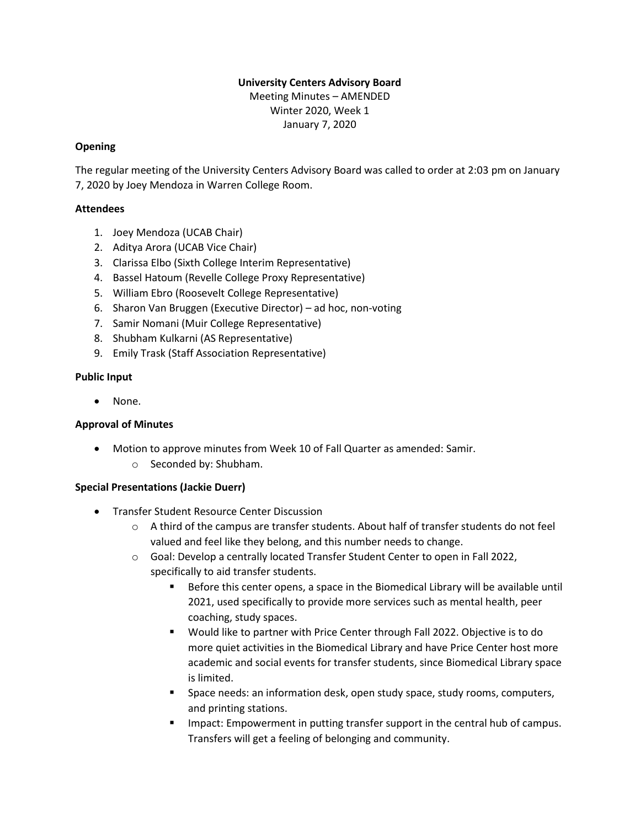# **University Centers Advisory Board**

Meeting Minutes – AMENDED Winter 2020, Week 1 January 7, 2020

## **Opening**

The regular meeting of the University Centers Advisory Board was called to order at 2:03 pm on January 7, 2020 by Joey Mendoza in Warren College Room.

## **Attendees**

- 1. Joey Mendoza (UCAB Chair)
- 2. Aditya Arora (UCAB Vice Chair)
- 3. Clarissa Elbo (Sixth College Interim Representative)
- 4. Bassel Hatoum (Revelle College Proxy Representative)
- 5. William Ebro (Roosevelt College Representative)
- 6. Sharon Van Bruggen (Executive Director) ad hoc, non-voting
- 7. Samir Nomani (Muir College Representative)
- 8. Shubham Kulkarni (AS Representative)
- 9. Emily Trask (Staff Association Representative)

# **Public Input**

None.

# **Approval of Minutes**

- Motion to approve minutes from Week 10 of Fall Quarter as amended: Samir.
	- o Seconded by: Shubham.

# **Special Presentations (Jackie Duerr)**

- Transfer Student Resource Center Discussion
	- $\circ$  A third of the campus are transfer students. About half of transfer students do not feel valued and feel like they belong, and this number needs to change.
	- o Goal: Develop a centrally located Transfer Student Center to open in Fall 2022, specifically to aid transfer students.
		- Before this center opens, a space in the Biomedical Library will be available until 2021, used specifically to provide more services such as mental health, peer coaching, study spaces.
		- Would like to partner with Price Center through Fall 2022. Objective is to do more quiet activities in the Biomedical Library and have Price Center host more academic and social events for transfer students, since Biomedical Library space is limited.
		- Space needs: an information desk, open study space, study rooms, computers, and printing stations.
		- **■** Impact: Empowerment in putting transfer support in the central hub of campus. Transfers will get a feeling of belonging and community.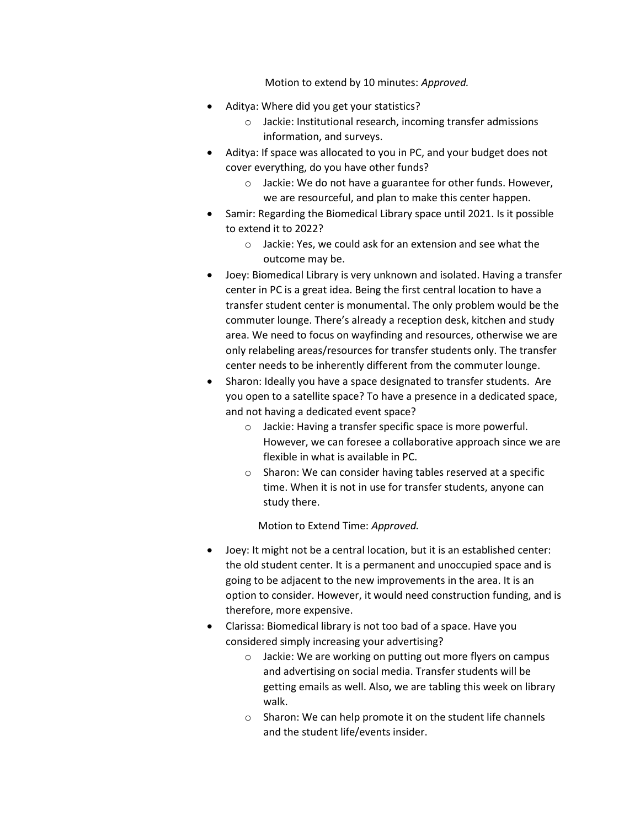Motion to extend by 10 minutes: *Approved.*

- Aditya: Where did you get your statistics?
	- o Jackie: Institutional research, incoming transfer admissions information, and surveys.
- Aditya: If space was allocated to you in PC, and your budget does not cover everything, do you have other funds?
	- o Jackie: We do not have a guarantee for other funds. However, we are resourceful, and plan to make this center happen.
- Samir: Regarding the Biomedical Library space until 2021. Is it possible to extend it to 2022?
	- o Jackie: Yes, we could ask for an extension and see what the outcome may be.
- Joey: Biomedical Library is very unknown and isolated. Having a transfer center in PC is a great idea. Being the first central location to have a transfer student center is monumental. The only problem would be the commuter lounge. There's already a reception desk, kitchen and study area. We need to focus on wayfinding and resources, otherwise we are only relabeling areas/resources for transfer students only. The transfer center needs to be inherently different from the commuter lounge.
- Sharon: Ideally you have a space designated to transfer students. Are you open to a satellite space? To have a presence in a dedicated space, and not having a dedicated event space?
	- o Jackie: Having a transfer specific space is more powerful. However, we can foresee a collaborative approach since we are flexible in what is available in PC.
	- o Sharon: We can consider having tables reserved at a specific time. When it is not in use for transfer students, anyone can study there.

Motion to Extend Time: *Approved.*

- Joey: It might not be a central location, but it is an established center: the old student center. It is a permanent and unoccupied space and is going to be adjacent to the new improvements in the area. It is an option to consider. However, it would need construction funding, and is therefore, more expensive.
- Clarissa: Biomedical library is not too bad of a space. Have you considered simply increasing your advertising?
	- o Jackie: We are working on putting out more flyers on campus and advertising on social media. Transfer students will be getting emails as well. Also, we are tabling this week on library walk.
	- o Sharon: We can help promote it on the student life channels and the student life/events insider.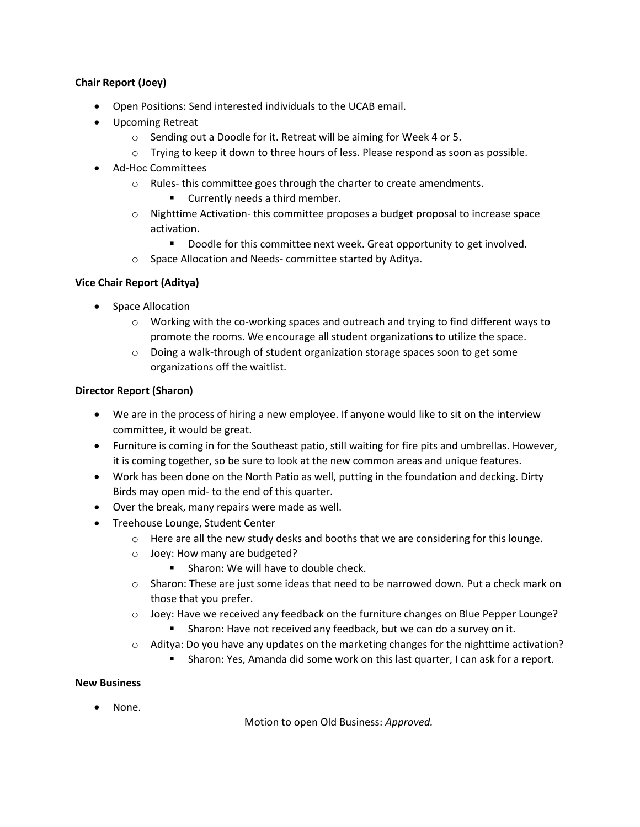## **Chair Report (Joey)**

- Open Positions: Send interested individuals to the UCAB email.
- Upcoming Retreat
	- o Sending out a Doodle for it. Retreat will be aiming for Week 4 or 5.
	- $\circ$  Trying to keep it down to three hours of less. Please respond as soon as possible.
- Ad-Hoc Committees
	- o Rules- this committee goes through the charter to create amendments.
		- Currently needs a third member.
	- $\circ$  Nighttime Activation- this committee proposes a budget proposal to increase space activation.
		- Doodle for this committee next week. Great opportunity to get involved.
	- o Space Allocation and Needs- committee started by Aditya.

#### **Vice Chair Report (Aditya)**

- Space Allocation
	- o Working with the co-working spaces and outreach and trying to find different ways to promote the rooms. We encourage all student organizations to utilize the space.
	- $\circ$  Doing a walk-through of student organization storage spaces soon to get some organizations off the waitlist.

#### **Director Report (Sharon)**

- We are in the process of hiring a new employee. If anyone would like to sit on the interview committee, it would be great.
- Furniture is coming in for the Southeast patio, still waiting for fire pits and umbrellas. However, it is coming together, so be sure to look at the new common areas and unique features.
- Work has been done on the North Patio as well, putting in the foundation and decking. Dirty Birds may open mid- to the end of this quarter.
- Over the break, many repairs were made as well.
- Treehouse Lounge, Student Center
	- $\circ$  Here are all the new study desks and booths that we are considering for this lounge.
	- o Joey: How many are budgeted?
		- Sharon: We will have to double check.
	- $\circ$  Sharon: These are just some ideas that need to be narrowed down. Put a check mark on those that you prefer.
	- $\circ$  Joey: Have we received any feedback on the furniture changes on Blue Pepper Lounge?
		- Sharon: Have not received any feedback, but we can do a survey on it.
	- $\circ$  Aditya: Do you have any updates on the marketing changes for the nighttime activation?
		- Sharon: Yes, Amanda did some work on this last quarter, I can ask for a report.

#### **New Business**

• None.

Motion to open Old Business: *Approved.*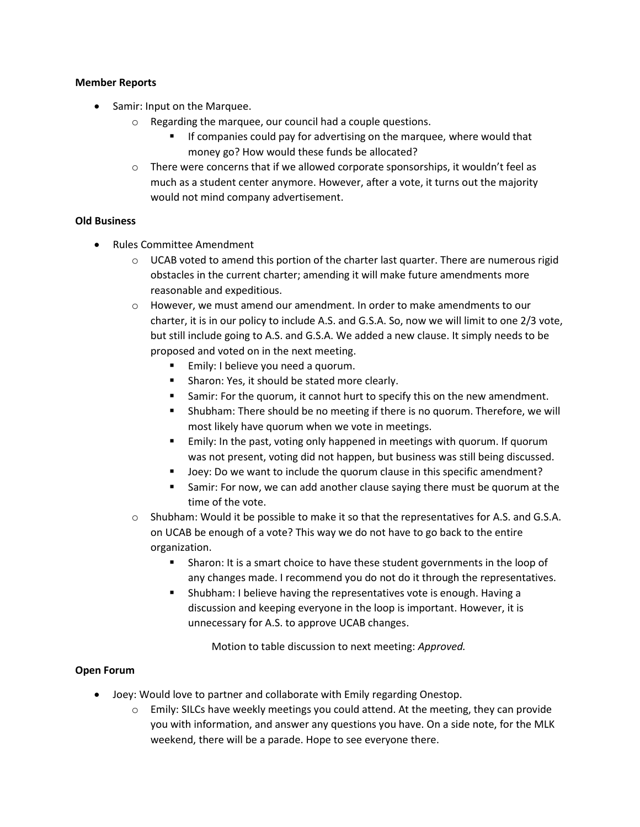#### **Member Reports**

- Samir: Input on the Marquee.
	- o Regarding the marquee, our council had a couple questions.
		- If companies could pay for advertising on the marquee, where would that money go? How would these funds be allocated?
	- $\circ$  There were concerns that if we allowed corporate sponsorships, it wouldn't feel as much as a student center anymore. However, after a vote, it turns out the majority would not mind company advertisement.

#### **Old Business**

- Rules Committee Amendment
	- $\circ$  UCAB voted to amend this portion of the charter last quarter. There are numerous rigid obstacles in the current charter; amending it will make future amendments more reasonable and expeditious.
	- $\circ$  However, we must amend our amendment. In order to make amendments to our charter, it is in our policy to include A.S. and G.S.A. So, now we will limit to one 2/3 vote, but still include going to A.S. and G.S.A. We added a new clause. It simply needs to be proposed and voted on in the next meeting.
		- Emily: I believe you need a quorum.
		- Sharon: Yes, it should be stated more clearly.
		- Samir: For the quorum, it cannot hurt to specify this on the new amendment.
		- Shubham: There should be no meeting if there is no quorum. Therefore, we will most likely have quorum when we vote in meetings.
		- Emily: In the past, voting only happened in meetings with quorum. If quorum was not present, voting did not happen, but business was still being discussed.
		- Joey: Do we want to include the quorum clause in this specific amendment?
		- Samir: For now, we can add another clause saying there must be quorum at the time of the vote.
	- o Shubham: Would it be possible to make it so that the representatives for A.S. and G.S.A. on UCAB be enough of a vote? This way we do not have to go back to the entire organization.
		- Sharon: It is a smart choice to have these student governments in the loop of any changes made. I recommend you do not do it through the representatives.
		- Shubham: I believe having the representatives vote is enough. Having a discussion and keeping everyone in the loop is important. However, it is unnecessary for A.S. to approve UCAB changes.

Motion to table discussion to next meeting: *Approved.*

#### **Open Forum**

- Joey: Would love to partner and collaborate with Emily regarding Onestop.
	- $\circ$  Emily: SILCs have weekly meetings you could attend. At the meeting, they can provide you with information, and answer any questions you have. On a side note, for the MLK weekend, there will be a parade. Hope to see everyone there.